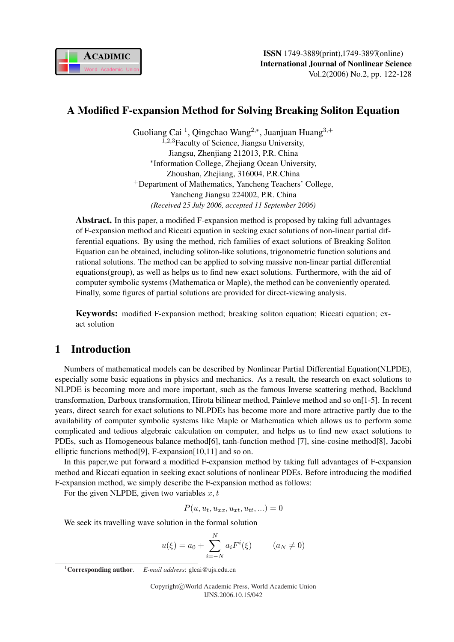

# A Modified F-expansion Method for Solving Breaking Soliton Equation

Guoliang Cai<sup>1</sup>, Qingchao Wang<sup>2,∗</sup>, Juanjuan Huang<sup>3,+</sup> <sup>1,2,3</sup>Faculty of Science, Jiangsu University, Jiangsu, Zhenjiang 212013, P.R. China ∗ Information College, Zhejiang Ocean University, Zhoushan, Zhejiang, 316004, P.R.China <sup>+</sup>Department of Mathematics, Yancheng Teachers' College, Yancheng Jiangsu 224002, P.R. China *(Received 25 July 2006, accepted 11 September 2006)*

Abstract. In this paper, a modified F-expansion method is proposed by taking full advantages of F-expansion method and Riccati equation in seeking exact solutions of non-linear partial differential equations. By using the method, rich families of exact solutions of Breaking Soliton Equation can be obtained, including soliton-like solutions, trigonometric function solutions and rational solutions. The method can be applied to solving massive non-linear partial differential equations(group), as well as helps us to find new exact solutions. Furthermore, with the aid of computer symbolic systems (Mathematica or Maple), the method can be conveniently operated. Finally, some figures of partial solutions are provided for direct-viewing analysis.

Keywords: modified F-expansion method; breaking soliton equation; Riccati equation; exact solution

## 1 Introduction

Numbers of mathematical models can be described by Nonlinear Partial Differential Equation(NLPDE), especially some basic equations in physics and mechanics. As a result, the research on exact solutions to NLPDE is becoming more and more important, such as the famous Inverse scattering method, Backlund transformation, Darboux transformation, Hirota bilinear method, Painleve method and so on[1-5]. In recent years, direct search for exact solutions to NLPDEs has become more and more attractive partly due to the availability of computer symbolic systems like Maple or Mathematica which allows us to perform some complicated and tedious algebraic calculation on computer, and helps us to find new exact solutions to PDEs, such as Homogeneous balance method[6], tanh-function method [7], sine-cosine method[8], Jacobi elliptic functions method[9], F-expansion[10,11] and so on.

In this paper,we put forward a modified F-expansion method by taking full advantages of F-expansion method and Riccati equation in seeking exact solutions of nonlinear PDEs. Before introducing the modified F-expansion method, we simply describe the F-expansion method as follows:

For the given NLPDE, given two variables  $x, t$ 

$$
P(u, u_t, u_{xx}, u_{xt}, u_{tt}, \ldots) = 0
$$

We seek its travelling wave solution in the formal solution

$$
u(\xi) = a_0 + \sum_{i=-N}^{N} a_i F^i(\xi)
$$
  $(a_N \neq 0)$ 

<sup>1</sup>Corresponding author. *E-mail address*: glcai@ujs.edu.cn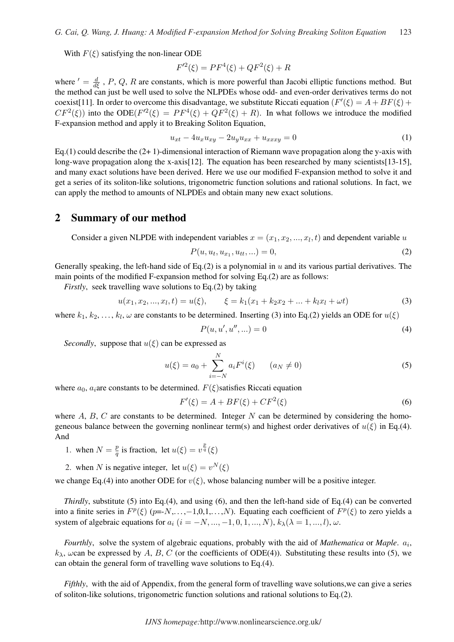With  $F(\xi)$  satisfying the non-linear ODE

$$
F'^{2}(\xi) = PF^{4}(\xi) + QF^{2}(\xi) + R
$$

where  $d = \frac{d}{d\xi}$ , P, Q, R are constants, which is more powerful than Jacobi elliptic functions method. But the method can just be well used to solve the NLPDEs whose odd- and even-order derivatives terms do not coexist[11]. In order to overcome this disadvantage, we substitute Riccati equation  $(F'(\xi) = A + BF(\xi) +$  $CF^2(\xi)$  into the ODE( $F^2(\xi) = PF^4(\xi) + QF^2(\xi) + R$ ). In what follows we introduce the modified F-expansion method and apply it to Breaking Soliton Equation,

$$
u_{xt} - 4u_x u_{xy} - 2u_y u_{xx} + u_{xxxy} = 0
$$
\n(1)

Eq.(1) could describe the  $(2+1)$ -dimensional interaction of Riemann wave propagation along the y-axis with long-wave propagation along the x-axis[12]. The equation has been researched by many scientists[13-15], and many exact solutions have been derived. Here we use our modified F-expansion method to solve it and get a series of its soliton-like solutions, trigonometric function solutions and rational solutions. In fact, we can apply the method to amounts of NLPDEs and obtain many new exact solutions.

#### 2 Summary of our method

Consider a given NLPDE with independent variables  $x = (x_1, x_2, ..., x_l, t)$  and dependent variable u

$$
P(u, u_t, u_{x_1}, u_{tt}, \ldots) = 0,\t\t(2)
$$

Generally speaking, the left-hand side of Eq.(2) is a polynomial in  $u$  and its various partial derivatives. The main points of the modified F-expansion method for solving Eq.(2) are as follows:

*Firstly*, seek travelling wave solutions to Eq.(2) by taking

$$
u(x_1, x_2, ..., x_l, t) = u(\xi), \qquad \xi = k_1(x_1 + k_2x_2 + ... + k_lx_l + \omega t)
$$
\n(3)

where  $k_1, k_2, \ldots, k_l, \omega$  are constants to be determined. Inserting (3) into Eq.(2) yields an ODE for  $u(\xi)$ 

$$
P(u, u', u'', \ldots) = 0 \tag{4}
$$

*Secondly*, suppose that  $u(\xi)$  can be expressed as

$$
u(\xi) = a_0 + \sum_{i=-N}^{N} a_i F^i(\xi) \qquad (a_N \neq 0)
$$
 (5)

where  $a_0$ ,  $a_i$  are constants to be determined.  $F(\xi)$  satisfies Riccati equation

$$
F'(\xi) = A + BF(\xi) + CF^2(\xi)
$$
\n(6)

where  $A, B, C$  are constants to be determined. Integer  $N$  can be determined by considering the homogeneous balance between the governing nonlinear term(s) and highest order derivatives of  $u(\xi)$  in Eq.(4). And

1. when  $N = \frac{p}{q}$  $\frac{p}{q}$  is fraction, let  $u(\xi) = v^{\frac{p}{q}}(\xi)$ 

2. when N is negative integer, let  $u(\xi) = v^N(\xi)$ 

we change Eq.(4) into another ODE for  $v(\xi)$ , whose balancing number will be a positive integer.

*Thirdly*, substitute (5) into Eq.(4), and using (6), and then the left-hand side of Eq.(4) can be converted into a finite series in  $F^p(\xi)$  (p=-N,...,-1,0,1,...,N). Equating each coefficient of  $F^p(\xi)$  to zero yields a system of algebraic equations for  $a_i$  (i =  $-N, ..., -1, 0, 1, ..., N$ ),  $k_\lambda(\lambda = 1, ..., l)$ ,  $\omega$ .

*Fourthly*, solve the system of algebraic equations, probably with the aid of *Mathematica* or *Maple*.  $a_i$ ,  $k_{\lambda}$ , wean be expressed by A, B, C (or the coefficients of ODE(4)). Substituting these results into (5), we can obtain the general form of travelling wave solutions to Eq.(4).

*Fifthly*, with the aid of Appendix, from the general form of travelling wave solutions, we can give a series of soliton-like solutions, trigonometric function solutions and rational solutions to  $Eq.(2)$ .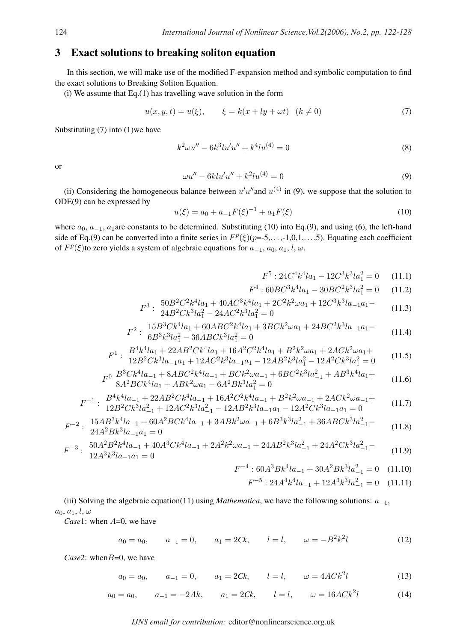### 3 Exact solutions to breaking soliton equation

In this section, we will make use of the modified F-expansion method and symbolic computation to find the exact solutions to Breaking Soliton Equation.

(i) We assume that Eq.(1) has travelling wave solution in the form

$$
u(x, y, t) = u(\xi), \qquad \xi = k(x + ly + \omega t) \quad (k \neq 0)
$$
 (7)

Substituting  $(7)$  into  $(1)$  we have

$$
k^2 \omega u'' - 6k^3 l u' u'' + k^4 l u^{(4)} = 0 \tag{8}
$$

or

$$
\omega u'' - 6k!u'u'' + k^2lu^{(4)} = 0 \tag{9}
$$

(ii) Considering the homogeneous balance between  $u'u''$  and  $u^{(4)}$  in (9), we suppose that the solution to ODE(9) can be expressed by

$$
u(\xi) = a_0 + a_{-1}F(\xi)^{-1} + a_1F(\xi)
$$
\n(10)

where  $a_0$ ,  $a_{-1}$ ,  $a_1$  are constants to be determined. Substituting (10) into Eq.(9), and using (6), the left-hand side of Eq.(9) can be converted into a finite series in  $F^p(\xi)(p=5,\ldots,-1,0,1,\ldots,5)$ . Equating each coefficient of  $F^p(\xi)$ to zero yields a system of algebraic equations for  $a_{-1}, a_0, a_1, l, \omega$ .

$$
F^5: 24C^4k^4la_1 - 12C^3k^3la_1^2 = 0 \quad (11.1)
$$

$$
F^4: 60BC^3k^4la_1 - 30BC^2k^3la_1^2 = 0 \qquad (11.2)
$$

$$
F^3: \frac{50B^2C^2k^4la_1 + 40AC^3k^4la_1 + 2C^2k^2\omega a_1 + 12C^3k^3la_{-1}a_1 - 24B^2Ck^3la_1^2 - 24AC^2k^3la_1^2 = 0
$$
\n(11.3)

$$
F^2: \frac{15B^3Ck^4la_1 + 60ABC^2k^4la_1 + 3BCk^2wa_1 + 24BC^2k^3la_{-1}a_1 - 6B^3k^3la_1^2 - 36ABCk^3la_1^2 = 0 \tag{11.4}
$$

$$
F^{1}: \quad B^{4}k^{4}la_{1} + 22AB^{2}Ck^{4}la_{1} + 16A^{2}C^{2}k^{4}la_{1} + B^{2}k^{2}\omega a_{1} + 2ACk^{2}\omega a_{1} + 12B^{2}Ck^{3}la_{-1}a_{1} + 12AC^{2}k^{3}la_{-1}a_{1} - 12AB^{2}k^{3}la_{1}^{2} - 12A^{2}Ck^{3}la_{1}^{2} = 0 \tag{11.5}
$$

$$
F^0 \frac{B^3 C k^4 l a_{-1} + 8ABC^2 k^4 l a_{-1} + BC k^2 \omega a_{-1} + 6BC^2 k^3 l a_{-1}^2 + AB^3 k^4 l a_1 + B A^2 B C k^4 l a_1 + AB k^2 \omega a_1 - 6A^2 B k^3 l a_1^2 = 0 \tag{11.6}
$$

$$
F^{-1}: \quad B^4 k^4 l a_{-1} + 22 A B^2 C k^4 l a_{-1} + 16 A^2 C^2 k^4 l a_{-1} + B^2 k^2 \omega a_{-1} + 2 A C k^2 \omega a_{-1} + 12 B^2 C k^3 l a_{-1}^2 + 12 A C^2 k^3 l a_{-1}^2 - 12 A B^2 k^3 l a_{-1} a_1 - 12 A^2 C k^3 l a_{-1} a_1 = 0 \tag{11.7}
$$

$$
F^{-2}: \frac{15AB^3k^4la_{-1} + 60A^2BCk^4la_{-1} + 3ABk^2\omega a_{-1} + 6B^3k^3la_{-1}^2 + 36ABCk^3la_{-1}^2 - 24A^2Bk^3la_{-1}a_1 = 0
$$
\n(11.8)

$$
F^{-3}: \frac{50A^2B^2k^4la_{-1} + 40A^3Ck^4la_{-1} + 2A^2k^2\omega a_{-1} + 24AB^2k^3la_{-1}^2 + 24A^2Ck^3la_{-1}^2 - 12A^3k^3la_{-1}a_1 = 0
$$
\n(11.9)

$$
F^{-4}: 60A^{3}Bk^{4}la_{-1} + 30A^{2}Bk^{3}la_{-1}^{2} = 0 \quad (11.10)
$$

$$
F^{-5}: 24A^4k^4la_{-1} + 12A^3k^3la_{-1}^2 = 0 \quad (11.11)
$$

(iii) Solving the algebraic equation(11) using *Mathematica*, we have the following solutions: a−1,  $a_0, a_1, l, \omega$ 

*Case*1: when  $A=0$ , we have

$$
a_0 = a_0, \qquad a_{-1} = 0, \qquad a_1 = 2Ck, \qquad l = l, \qquad \omega = -B^2k^2l \tag{12}
$$

*Case*2: when *B*=0, we have

 $a_0 = a_0, \qquad a_{-1} = 0, \qquad a_1 = 2Ck, \qquad l = l, \qquad \omega = 4ACk^2l$  $(13)$ 

$$
a_0 = a_0
$$
,  $a_{-1} = -2Ak$ ,  $a_1 = 2Ck$ ,  $l = l$ ,  $\omega = 16ACk^2l$  (14)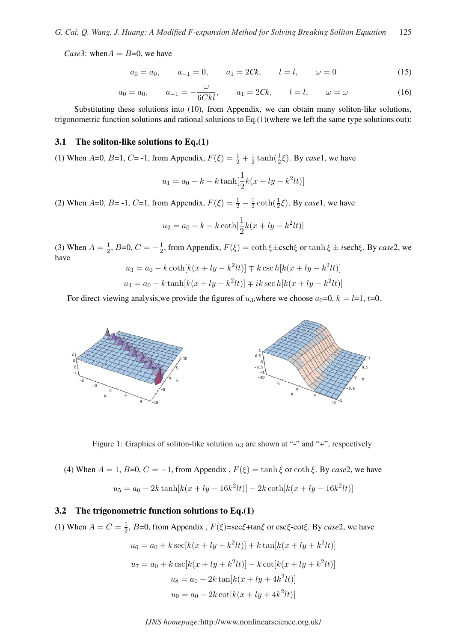*Case*3: when  $A = B=0$ , we have

$$
a_0 = a_0, \qquad a_{-1} = 0, \qquad a_1 = 2Ck, \qquad l = l, \qquad \omega = 0 \tag{15}
$$

$$
a_0 = a_0
$$
,  $a_{-1} = -\frac{\omega}{6Ckl}$ ,  $a_1 = 2Ck$ ,  $l = l$ ,  $\omega = \omega$  (16)

Substituting these solutions into (10), from Appendix, we can obtain many soliton-like solutions, trigonometric function solutions and rational solutions to Eq. $(1)$ (where we left the same type solutions out):

#### 3.1 The soliton-like solutions to  $Eq.(1)$

(1) When A=0, B=1, C= -1, from Appendix,  $F(\xi) = \frac{1}{2} + \frac{1}{2}$  $\frac{1}{2}$  tanh( $\frac{1}{2}\xi$ ). By *case*1, we have

$$
u_1 = a_0 - k - k \tanh[\frac{1}{2}k(x + ly - k^2lt)]
$$

(2) When  $A=0$ ,  $B=$  -1,  $C=1$ , from Appendix,  $F(\xi) = \frac{1}{2} - \frac{1}{2}$  $\frac{1}{2} \coth(\frac{1}{2}\xi)$ . By *case*1, we have

$$
u_2 = a_0 + k - k \coth[\frac{1}{2}k(x + ly - k^2lt)]
$$

(3) When  $A = \frac{1}{2}$  $\frac{1}{2}$ , B=0,  $C = -\frac{1}{2}$  $\frac{1}{2}$ , from Appendix,  $F(\xi) = \coth \xi \pm \operatorname{csch} \xi$  or  $\tanh \xi \pm i \operatorname{sech} \xi$ . By *case*2, we have

$$
u_3 = a_0 - k \coth[k(x + ly - k^2lt)] \mp k \csc h[k(x + ly - k^2lt)]
$$
  

$$
u_4 = a_0 - k \tanh[k(x + ly - k^2lt)] \mp ik \sec h[k(x + ly - k^2lt)]
$$

For direct-viewing analysis, we provide the figures of  $u_3$ , where we choose  $a_0=0$ ,  $k = l=1, t=0$ .



Figure 1: Graphics of soliton-like solution  $u_3$  are shown at "-" and "+", respectively

(4) When  $A = 1$ ,  $B=0$ ,  $C = -1$ , from Appendix,  $F(\xi) = \tanh \xi$  or  $\coth \xi$ . By *case*2, we have

$$
u_5 = a_0 - 2k \tanh[k(x + ly - 16k^2lt)] - 2k \coth[k(x + ly - 16k^2lt)]
$$

#### 3.2 The trigonometric function solutions to  $Eq.(1)$

(1) When  $A = C = \frac{1}{2}$  $\frac{1}{2}$ , *B*=0, from Appendix ,  $F(\xi)$ =sec $\xi$ +tan $\xi$  or csc $\xi$ -cot $\xi$ . By *case*2, we have

$$
u_6 = a_0 + k \sec[k(x + ly + k^2lt)] + k \tan[k(x + ly + k^2lt)]
$$
  

$$
u_7 = a_0 + k \csc[k(x + ly + k^2lt)] - k \cot[k(x + ly + k^2lt)]
$$
  

$$
u_8 = a_0 + 2k \tan[k(x + ly + 4k^2lt)]
$$
  

$$
u_9 = a_0 - 2k \cot[k(x + ly + 4k^2lt)]
$$

*IJNS homepage:*http://www.nonlinearscience.org.uk/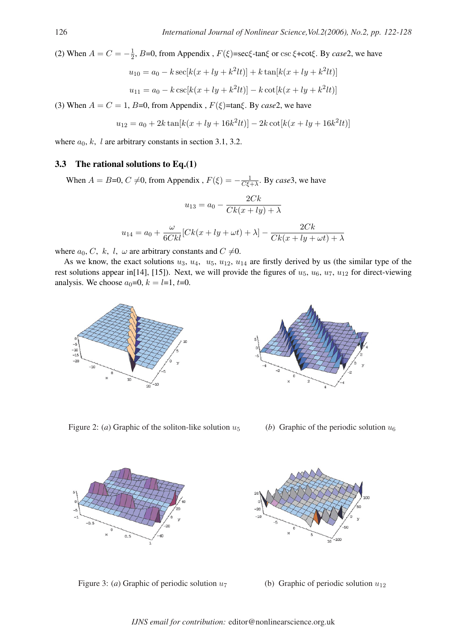(2) When  $A = C = -\frac{1}{2}$  $\frac{1}{2}$ , *B*=0, from Appendix , *F*(*ξ*)=sec*ξ*-tan*ξ* or csc *ξ*+cot*ξ*. By *case*2, we have

$$
u_{10} = a_0 - k \sec[k(x + ly + k^2lt)] + k \tan[k(x + ly + k^2lt)]
$$
  

$$
u_{11} = a_0 - k \csc[k(x + ly + k^2lt)] - k \cot[k(x + ly + k^2lt)]
$$

(3) When  $A = C = 1$ ,  $B=0$ , from Appendix,  $F(\xi)$ =tan $\xi$ . By *case*2, we have

$$
u_{12} = a_0 + 2k \tan[k(x + ly + 16k^2lt)] - 2k \cot[k(x + ly + 16k^2lt)]
$$

where  $a_0$ , k, l are arbitrary constants in section 3.1, 3.2.

#### 3.3 The rational solutions to  $Eq.(1)$

When  $A = B=0, C \neq 0$ , from Appendix ,  $F(\xi) = -\frac{1}{C\xi}$ .  $\frac{1}{C\xi + \lambda}$ . By *case*3, we have

$$
u_{13} = a_0 - \frac{2Ck}{Ck(x+ly) + \lambda}
$$

$$
u_{14} = a_0 + \frac{\omega}{6Ckl} [Ck(x+ly+\omega t) + \lambda] - \frac{2Ck}{Ck(x+ly+\omega t) + \lambda}
$$

where  $a_0, C, k, l, \omega$  are arbitrary constants and  $C \neq 0$ .

As we know, the exact solutions  $u_3$ ,  $u_4$ ,  $u_5$ ,  $u_{12}$ ,  $u_{14}$  are firstly derived by us (the similar type of the rest solutions appear in[14], [15]). Next, we will provide the figures of  $u_5$ ,  $u_6$ ,  $u_7$ ,  $u_{12}$  for direct-viewing analysis. We choose  $a_0=0$ ,  $k = l=1$ ,  $t=0$ .



Figure 2: (*a*) Graphic of the soliton-like solution  $u_5$  (*b*) Graphic of the periodic solution  $u_6$ 



Figure 3: (*a*) Graphic of periodic solution  $u_7$  (b) Graphic of periodic solution  $u_{12}$ 



*IJNS email for contribution:* editor@nonlinearscience.org.uk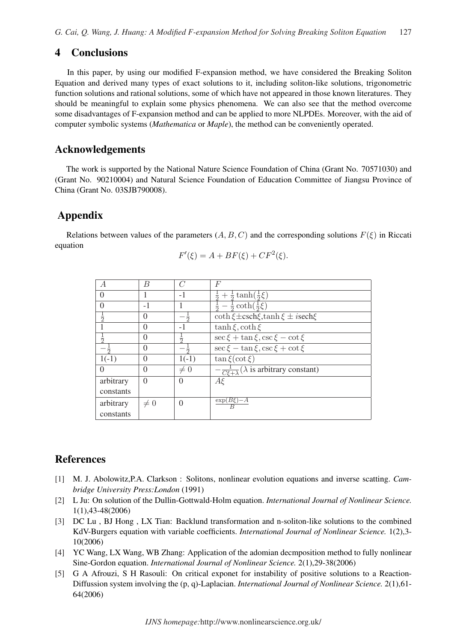## 4 Conclusions

In this paper, by using our modified F-expansion method, we have considered the Breaking Soliton Equation and derived many types of exact solutions to it, including soliton-like solutions, trigonometric function solutions and rational solutions, some of which have not appeared in those known literatures. They should be meaningful to explain some physics phenomena. We can also see that the method overcome some disadvantages of F-expansion method and can be applied to more NLPDEs. Moreover, with the aid of computer symbolic systems (*Mathematica* or *Maple*), the method can be conveniently operated.

## Acknowledgements

The work is supported by the National Nature Science Foundation of China (Grant No. 70571030) and (Grant No. 90210004) and Natural Science Foundation of Education Committee of Jiangsu Province of China (Grant No. 03SJB790008).

## Appendix

Relations between values of the parameters  $(A, B, C)$  and the corresponding solutions  $F(\xi)$  in Riccati equation

$$
F'(\xi) = A + BF(\xi) + CF^2(\xi).
$$

|                  | B        |               | F                                                                |
|------------------|----------|---------------|------------------------------------------------------------------|
| $\left( \right)$ |          | $-1$          | $\frac{1}{2} + \frac{1}{2} \tanh(\frac{1}{2}\xi)$                |
|                  | $-1$     |               | $rac{1}{2} - \frac{1}{2} \coth(\frac{1}{2}\xi)$                  |
| $\frac{1}{2}$    | $\theta$ |               | coth $\xi \pm \cosh \xi$ , tanh $\xi \pm i$ sech $\xi$           |
|                  | $\Omega$ | - 1           | $\tanh \xi$ , coth $\xi$                                         |
| $\frac{1}{2}$    | 0        | $\frac{1}{2}$ | $\sec \xi + \tan \xi, \csc \xi - \cot \xi$                       |
|                  | 0        |               | $\sec \xi - \tan \xi, \csc \xi + \cot \xi$                       |
| $1(-1)$          | $\Omega$ | $1(-1)$       | $\tan \xi(\cot \xi)$                                             |
| $\theta$         | 0        | $\neq 0$      | $-\frac{1}{C\xi+\lambda}(\lambda \text{ is arbitrary constant})$ |
| arbitrary        | $\Omega$ | $\Omega$      | $A \xi$                                                          |
| constants        |          |               |                                                                  |
| arbitrary        | $\neq 0$ | $\Omega$      | $\exp(B\xi) - \overline{A}$                                      |
| constants        |          |               |                                                                  |

## References

- [1] M. J. Abolowitz,P.A. Clarkson : Solitons, nonlinear evolution equations and inverse scatting. *Cambridge University Press:London* (1991)
- [2] L Ju: On solution of the Dullin-Gottwald-Holm equation. *International Journal of Nonlinear Science.* 1(1),43-48(2006)
- [3] DC Lu , BJ Hong , LX Tian: Backlund transformation and n-soliton-like solutions to the combined KdV-Burgers equation with variable coefficients. *International Journal of Nonlinear Science.* 1(2),3- 10(2006)
- [4] YC Wang, LX Wang, WB Zhang: Application of the adomian decmposition method to fully nonlinear Sine-Gordon equation. *International Journal of Nonlinear Science.* 2(1),29-38(2006)
- [5] G A Afrouzi, S H Rasouli: On critical exponet for instability of positive solutions to a Reaction-Diffussion system involving the (p, q)-Laplacian. *International Journal of Nonlinear Science.* 2(1),61- 64(2006)